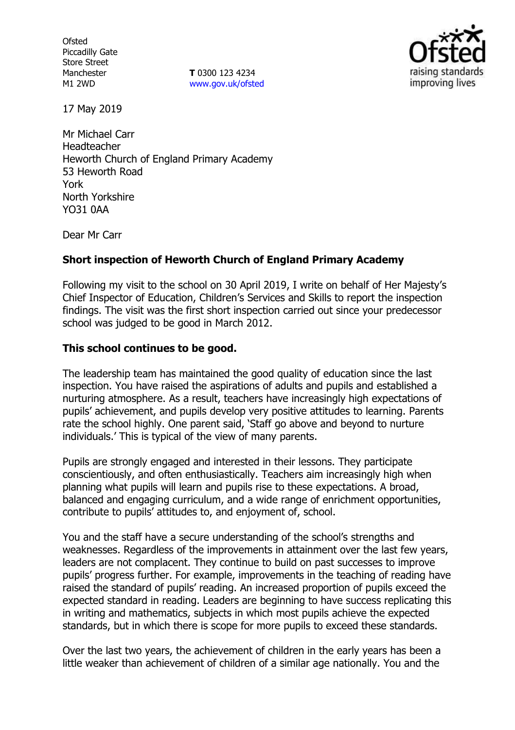**Ofsted** Piccadilly Gate Store Street Manchester M1 2WD

**T** 0300 123 4234 [www.gov.uk/ofsted](http://www.gov.uk/ofsted)



17 May 2019

Mr Michael Carr Headteacher Heworth Church of England Primary Academy 53 Heworth Road York North Yorkshire YO31 0AA

Dear Mr Carr

# **Short inspection of Heworth Church of England Primary Academy**

Following my visit to the school on 30 April 2019, I write on behalf of Her Majesty's Chief Inspector of Education, Children's Services and Skills to report the inspection findings. The visit was the first short inspection carried out since your predecessor school was judged to be good in March 2012.

## **This school continues to be good.**

The leadership team has maintained the good quality of education since the last inspection. You have raised the aspirations of adults and pupils and established a nurturing atmosphere. As a result, teachers have increasingly high expectations of pupils' achievement, and pupils develop very positive attitudes to learning. Parents rate the school highly. One parent said, 'Staff go above and beyond to nurture individuals.' This is typical of the view of many parents.

Pupils are strongly engaged and interested in their lessons. They participate conscientiously, and often enthusiastically. Teachers aim increasingly high when planning what pupils will learn and pupils rise to these expectations. A broad, balanced and engaging curriculum, and a wide range of enrichment opportunities, contribute to pupils' attitudes to, and enjoyment of, school.

You and the staff have a secure understanding of the school's strengths and weaknesses. Regardless of the improvements in attainment over the last few years, leaders are not complacent. They continue to build on past successes to improve pupils' progress further. For example, improvements in the teaching of reading have raised the standard of pupils' reading. An increased proportion of pupils exceed the expected standard in reading. Leaders are beginning to have success replicating this in writing and mathematics, subjects in which most pupils achieve the expected standards, but in which there is scope for more pupils to exceed these standards.

Over the last two years, the achievement of children in the early years has been a little weaker than achievement of children of a similar age nationally. You and the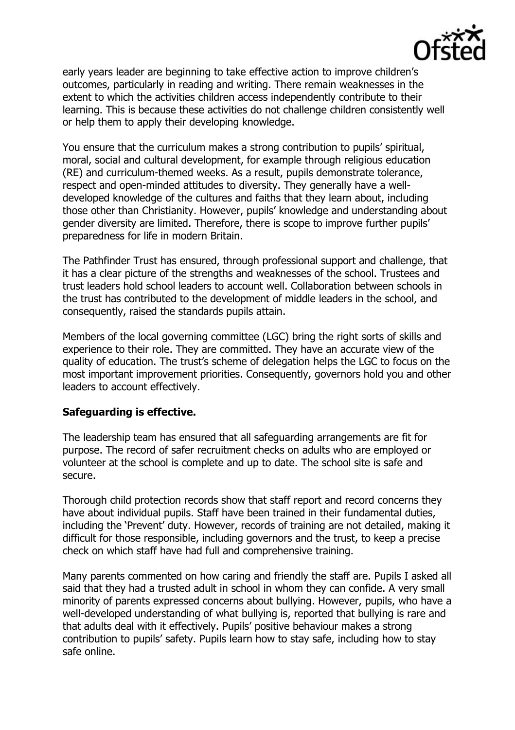

early years leader are beginning to take effective action to improve children's outcomes, particularly in reading and writing. There remain weaknesses in the extent to which the activities children access independently contribute to their learning. This is because these activities do not challenge children consistently well or help them to apply their developing knowledge.

You ensure that the curriculum makes a strong contribution to pupils' spiritual, moral, social and cultural development, for example through religious education (RE) and curriculum-themed weeks. As a result, pupils demonstrate tolerance, respect and open-minded attitudes to diversity. They generally have a welldeveloped knowledge of the cultures and faiths that they learn about, including those other than Christianity. However, pupils' knowledge and understanding about gender diversity are limited. Therefore, there is scope to improve further pupils' preparedness for life in modern Britain.

The Pathfinder Trust has ensured, through professional support and challenge, that it has a clear picture of the strengths and weaknesses of the school. Trustees and trust leaders hold school leaders to account well. Collaboration between schools in the trust has contributed to the development of middle leaders in the school, and consequently, raised the standards pupils attain.

Members of the local governing committee (LGC) bring the right sorts of skills and experience to their role. They are committed. They have an accurate view of the quality of education. The trust's scheme of delegation helps the LGC to focus on the most important improvement priorities. Consequently, governors hold you and other leaders to account effectively.

## **Safeguarding is effective.**

The leadership team has ensured that all safeguarding arrangements are fit for purpose. The record of safer recruitment checks on adults who are employed or volunteer at the school is complete and up to date. The school site is safe and secure.

Thorough child protection records show that staff report and record concerns they have about individual pupils. Staff have been trained in their fundamental duties, including the 'Prevent' duty. However, records of training are not detailed, making it difficult for those responsible, including governors and the trust, to keep a precise check on which staff have had full and comprehensive training.

Many parents commented on how caring and friendly the staff are. Pupils I asked all said that they had a trusted adult in school in whom they can confide. A very small minority of parents expressed concerns about bullying. However, pupils, who have a well-developed understanding of what bullying is, reported that bullying is rare and that adults deal with it effectively. Pupils' positive behaviour makes a strong contribution to pupils' safety. Pupils learn how to stay safe, including how to stay safe online.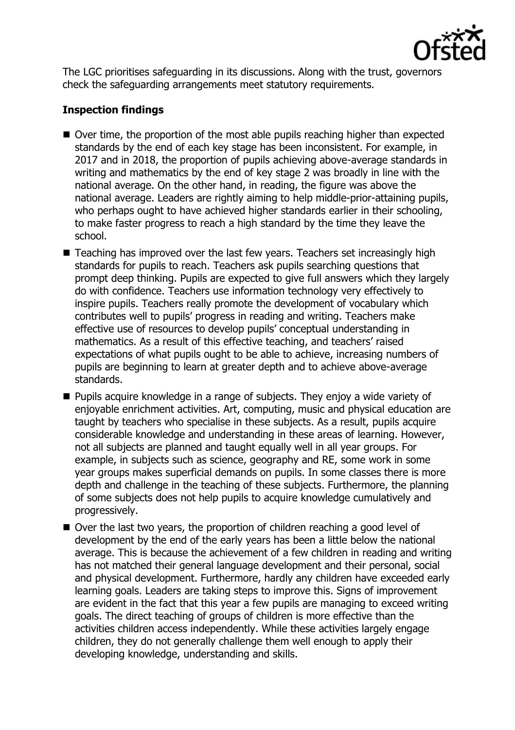

The LGC prioritises safeguarding in its discussions. Along with the trust, governors check the safeguarding arrangements meet statutory requirements.

# **Inspection findings**

- Over time, the proportion of the most able pupils reaching higher than expected standards by the end of each key stage has been inconsistent. For example, in 2017 and in 2018, the proportion of pupils achieving above-average standards in writing and mathematics by the end of key stage 2 was broadly in line with the national average. On the other hand, in reading, the figure was above the national average. Leaders are rightly aiming to help middle-prior-attaining pupils, who perhaps ought to have achieved higher standards earlier in their schooling, to make faster progress to reach a high standard by the time they leave the school.
- Teaching has improved over the last few years. Teachers set increasingly high standards for pupils to reach. Teachers ask pupils searching questions that prompt deep thinking. Pupils are expected to give full answers which they largely do with confidence. Teachers use information technology very effectively to inspire pupils. Teachers really promote the development of vocabulary which contributes well to pupils' progress in reading and writing. Teachers make effective use of resources to develop pupils' conceptual understanding in mathematics. As a result of this effective teaching, and teachers' raised expectations of what pupils ought to be able to achieve, increasing numbers of pupils are beginning to learn at greater depth and to achieve above-average standards.
- Pupils acquire knowledge in a range of subjects. They enjoy a wide variety of enjoyable enrichment activities. Art, computing, music and physical education are taught by teachers who specialise in these subjects. As a result, pupils acquire considerable knowledge and understanding in these areas of learning. However, not all subjects are planned and taught equally well in all year groups. For example, in subjects such as science, geography and RE, some work in some year groups makes superficial demands on pupils. In some classes there is more depth and challenge in the teaching of these subjects. Furthermore, the planning of some subjects does not help pupils to acquire knowledge cumulatively and progressively.
- Over the last two years, the proportion of children reaching a good level of development by the end of the early years has been a little below the national average. This is because the achievement of a few children in reading and writing has not matched their general language development and their personal, social and physical development. Furthermore, hardly any children have exceeded early learning goals. Leaders are taking steps to improve this. Signs of improvement are evident in the fact that this year a few pupils are managing to exceed writing goals. The direct teaching of groups of children is more effective than the activities children access independently. While these activities largely engage children, they do not generally challenge them well enough to apply their developing knowledge, understanding and skills.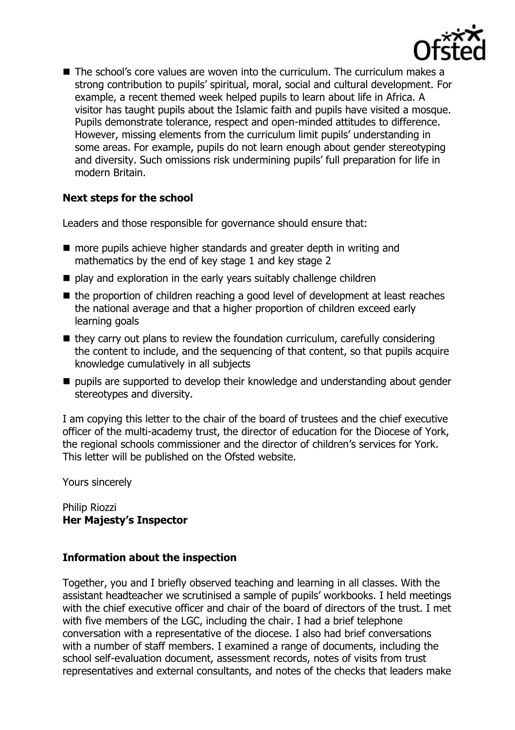

■ The school's core values are woven into the curriculum. The curriculum makes a strong contribution to pupils' spiritual, moral, social and cultural development. For example, a recent themed week helped pupils to learn about life in Africa. A visitor has taught pupils about the Islamic faith and pupils have visited a mosque. Pupils demonstrate tolerance, respect and open-minded attitudes to difference. However, missing elements from the curriculum limit pupils' understanding in some areas. For example, pupils do not learn enough about gender stereotyping and diversity. Such omissions risk undermining pupils' full preparation for life in modern Britain.

# **Next steps for the school**

Leaders and those responsible for governance should ensure that:

- more pupils achieve higher standards and greater depth in writing and mathematics by the end of key stage 1 and key stage 2
- play and exploration in the early years suitably challenge children
- the proportion of children reaching a good level of development at least reaches the national average and that a higher proportion of children exceed early learning goals
- $\blacksquare$  they carry out plans to review the foundation curriculum, carefully considering the content to include, and the sequencing of that content, so that pupils acquire knowledge cumulatively in all subjects
- pupils are supported to develop their knowledge and understanding about gender stereotypes and diversity.

I am copying this letter to the chair of the board of trustees and the chief executive officer of the multi-academy trust, the director of education for the Diocese of York, the regional schools commissioner and the director of children's services for York. This letter will be published on the Ofsted website.

Yours sincerely

Philip Riozzi **Her Majesty's Inspector**

## **Information about the inspection**

Together, you and I briefly observed teaching and learning in all classes. With the assistant headteacher we scrutinised a sample of pupils' workbooks. I held meetings with the chief executive officer and chair of the board of directors of the trust. I met with five members of the LGC, including the chair. I had a brief telephone conversation with a representative of the diocese. I also had brief conversations with a number of staff members. I examined a range of documents, including the school self-evaluation document, assessment records, notes of visits from trust representatives and external consultants, and notes of the checks that leaders make